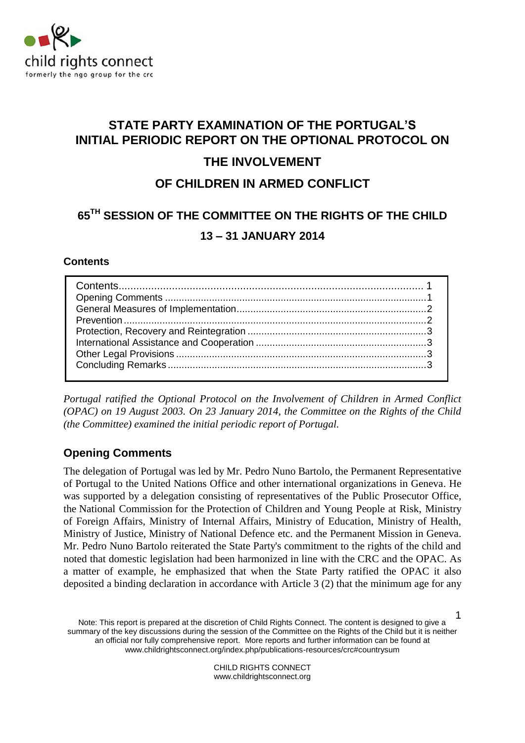

# **STATE PARTY EXAMINATION OF THE PORTUGAL'S INITIAL PERIODIC REPORT ON THE OPTIONAL PROTOCOL ON**

# **THE INVOLVEMENT**

# **OF CHILDREN IN ARMED CONFLICT**

# **65TH SESSION OF THE COMMITTEE ON THE RIGHTS OF THE CHILD 13 – 31 JANUARY 2014**

### <span id="page-0-0"></span>**Contents**

*Portugal ratified the Optional Protocol on the Involvement of Children in Armed Conflict (OPAC) on 19 August 2003. On 23 January 2014, the Committee on the Rights of the Child (the Committee) examined the initial periodic report of Portugal.*

### <span id="page-0-1"></span>**Opening Comments**

The delegation of Portugal was led by Mr. Pedro Nuno Bartolo, the Permanent Representative of Portugal to the United Nations Office and other international organizations in Geneva. He was supported by a delegation consisting of representatives of the Public Prosecutor Office, the National Commission for the Protection of Children and Young People at Risk, Ministry of Foreign Affairs, Ministry of Internal Affairs, Ministry of Education, Ministry of Health, Ministry of Justice, Ministry of National Defence etc. and the Permanent Mission in Geneva. Mr. Pedro Nuno Bartolo reiterated the State Party's commitment to the rights of the child and noted that domestic legislation had been harmonized in line with the CRC and the OPAC. As a matter of example, he emphasized that when the State Party ratified the OPAC it also deposited a binding declaration in accordance with Article 3 (2) that the minimum age for any

Note: This report is prepared at the discretion of Child Rights Connect. The content is designed to give a summary of the key discussions during the session of the Committee on the Rights of the Child but it is neither an official nor fully comprehensive report. More reports and further information can be found at [www.childrightsconnect.org/index.php/publications-resources/crc#countrysum](http://www.childrightsconnect.org/index.php/publications-resources/crc#countrysum) 1

> CHILD RIGHTS CONNECT www.childrightsconnect.org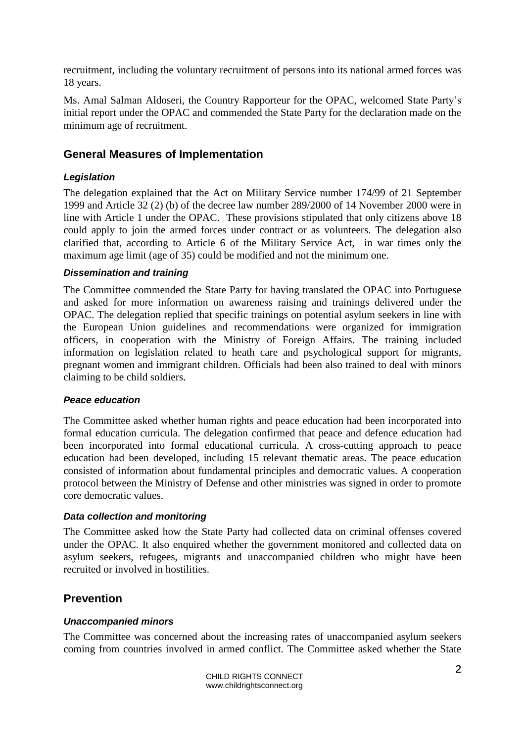recruitment, including the voluntary recruitment of persons into its national armed forces was 18 years.

Ms. Amal Salman Aldoseri, the Country Rapporteur for the OPAC, welcomed State Party's initial report under the OPAC and commended the State Party for the declaration made on the minimum age of recruitment.

### <span id="page-1-0"></span>**General Measures of Implementation**

### *Legislation*

The delegation explained that the Act on Military Service number 174/99 of 21 September 1999 and Article 32 (2) (b) of the decree law number 289/2000 of 14 November 2000 were in line with Article 1 under the OPAC. These provisions stipulated that only citizens above 18 could apply to join the armed forces under contract or as volunteers. The delegation also clarified that, according to Article 6 of the Military Service Act, in war times only the maximum age limit (age of 35) could be modified and not the minimum one.

### *Dissemination and training*

The Committee commended the State Party for having translated the OPAC into Portuguese and asked for more information on awareness raising and trainings delivered under the OPAC. The delegation replied that specific trainings on potential asylum seekers in line with the European Union guidelines and recommendations were organized for immigration officers, in cooperation with the Ministry of Foreign Affairs. The training included information on legislation related to heath care and psychological support for migrants, pregnant women and immigrant children. Officials had been also trained to deal with minors claiming to be child soldiers.

#### *Peace education*

The Committee asked whether human rights and peace education had been incorporated into formal education curricula. The delegation confirmed that peace and defence education had been incorporated into formal educational curricula. A cross-cutting approach to peace education had been developed, including 15 relevant thematic areas. The peace education consisted of information about fundamental principles and democratic values. A cooperation protocol between the Ministry of Defense and other ministries was signed in order to promote core democratic values.

#### *Data collection and monitoring*

The Committee asked how the State Party had collected data on criminal offenses covered under the OPAC. It also enquired whether the government monitored and collected data on asylum seekers, refugees, migrants and unaccompanied children who might have been recruited or involved in hostilities.

### <span id="page-1-1"></span>**Prevention**

### *Unaccompanied minors*

The Committee was concerned about the increasing rates of unaccompanied asylum seekers coming from countries involved in armed conflict. The Committee asked whether the State